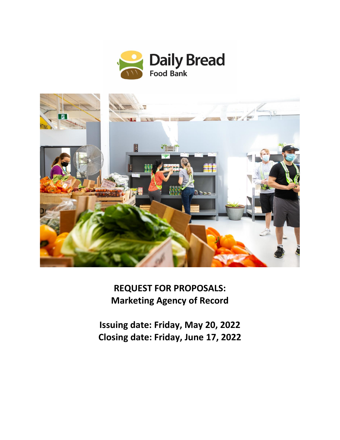



**REQUEST FOR PROPOSALS: Marketing Agency of Record**

**Issuing date: Friday, May 20, 2022 Closing date: Friday, June 17, 2022**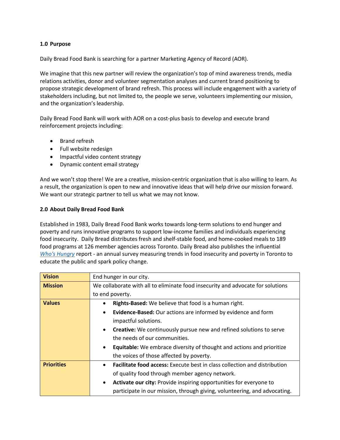#### **1.0 Purpose**

Daily Bread Food Bank is searching for a partner Marketing Agency of Record (AOR).

We imagine that this new partner will review the organization's top of mind awareness trends, media relations activities, donor and volunteer segmentation analyses and current brand positioning to propose strategic development of brand refresh. This process will include engagement with a variety of stakeholders including, but not limited to, the people we serve, volunteers implementing our mission, and the organization's leadership.

Daily Bread Food Bank will work with AOR on a cost-plus basis to develop and execute brand reinforcement projects including:

- Brand refresh
- Full website redesign
- Impactful video content strategy
- Dynamic content email strategy

And we won't stop there! We are a creative, mission-centric organization that is also willing to learn. As a result, the organization is open to new and innovative ideas that will help drive our mission forward. We want our strategic partner to tell us what we may not know.

#### **2.0 About Daily Bread Food Bank**

Established in 1983, Daily Bread Food Bank works towards long-term solutions to end hunger and poverty and runs innovative programs to support low-income families and individuals experiencing food insecurity. Daily Bread distributes fresh and shelf-stable food, and home-cooked meals to 189 food programs at 126 member agencies across Toronto. Daily Bread also publishes the influential *Who's [Hungry](http://www.dailybread.ca/whoshungry)* report - an annual survey measuring trends in food insecurity and poverty in Toronto to educate the public and spark policy change.

| <b>Vision</b>     | End hunger in our city.                                                                   |  |
|-------------------|-------------------------------------------------------------------------------------------|--|
| <b>Mission</b>    | We collaborate with all to eliminate food insecurity and advocate for solutions           |  |
|                   | to end poverty.                                                                           |  |
| <b>Values</b>     | Rights-Based: We believe that food is a human right.<br>٠                                 |  |
|                   | Evidence-Based: Our actions are informed by evidence and form<br>$\bullet$                |  |
|                   | impactful solutions.                                                                      |  |
|                   | <b>Creative:</b> We continuously pursue new and refined solutions to serve<br>$\bullet$   |  |
|                   | the needs of our communities.                                                             |  |
|                   | <b>Equitable:</b> We embrace diversity of thought and actions and prioritize<br>$\bullet$ |  |
|                   | the voices of those affected by poverty.                                                  |  |
| <b>Priorities</b> | Facilitate food access: Execute best in class collection and distribution<br>$\bullet$    |  |
|                   | of quality food through member agency network.                                            |  |
|                   | Activate our city: Provide inspiring opportunities for everyone to<br>$\bullet$           |  |
|                   | participate in our mission, through giving, volunteering, and advocating.                 |  |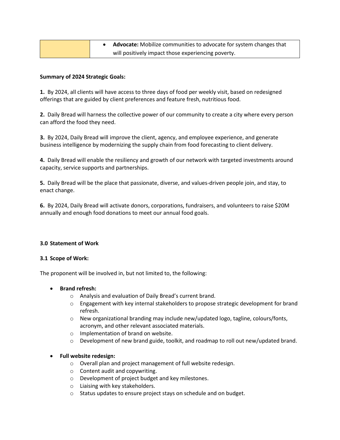|  | <b>Advocate:</b> Mobilize communities to advocate for system changes that |
|--|---------------------------------------------------------------------------|
|  | will positively impact those experiencing poverty.                        |

### **Summary of 2024 Strategic Goals:**

**1.** By 2024, all clients will have access to three days of food per weekly visit, based on redesigned offerings that are guided by client preferences and feature fresh, nutritious food.

**2.** Daily Bread will harness the collective power of our community to create a city where every person can afford the food they need.

**3.** By 2024, Daily Bread will improve the client, agency, and employee experience, and generate business intelligence by modernizing the supply chain from food forecasting to client delivery.

**4.** Daily Bread will enable the resiliency and growth of our network with targeted investments around capacity, service supports and partnerships.

**5.** Daily Bread will be the place that passionate, diverse, and values-driven people join, and stay, to enact change.

**6.** By 2024, Daily Bread will activate donors, corporations, fundraisers, and volunteers to raise \$20M annually and enough food donations to meet our annual food goals.

#### **3.0 Statement of Work**

#### **3.1 Scope of Work:**

The proponent will be involved in, but not limited to, the following:

# • **Brand refresh:**

- o Analysis and evaluation of Daily Bread's current brand.
- $\circ$  Engagement with key internal stakeholders to propose strategic development for brand refresh.
- $\circ$  New organizational branding may include new/updated logo, tagline, colours/fonts, acronym, and other relevant associated materials.
- o Implementation of brand on website.
- o Development of new brand guide, toolkit, and roadmap to roll out new/updated brand.

# • **Full website redesign:**

- o Overall plan and project management of full website redesign.
- o Content audit and copywriting.
- o Development of project budget and key milestones.
- o Liaising with key stakeholders.
- o Status updates to ensure project stays on schedule and on budget.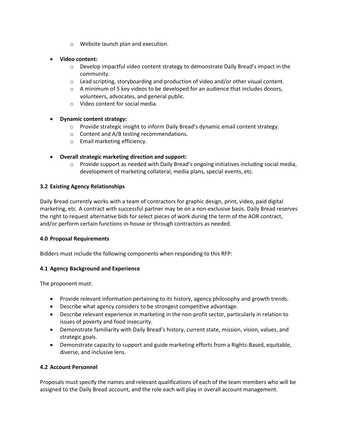- o Website launch plan and execution.
- **Video content:**
	- o Develop impactful video content strategy to demonstrate Daily Bread's impact in the community.
	- o Lead scripting, storyboarding and production of video and/or other visual content.
	- $\circ$  A minimum of 5 key videos to be developed for an audience that includes donors, volunteers, advocates, and general public.
	- o Video content for social media.
- **Dynamic content strategy:** 
	- $\circ$  Provide strategic insight to inform Daily Bread's dynamic email content strategy.
	- o Content and A/B testing recommendations.
	- o Email marketing efficiency.

# • **Overall strategic marketing direction and support:**

 $\circ$  Provide support as needed with Daily Bread's ongoing initiatives including social media, development of marketing collateral, media plans, special events, etc.

# **3.2 Existing Agency Relationships**

Daily Bread currently works with a team of contractors for graphic design, print, video, paid digital marketing, etc. A contract with successful partner may be on a non-exclusive basis. Daily Bread reserves the right to request alternative bids for select pieces of work during the term of the AOR contract, and/or perform certain functions in-house or through contractors as needed.

#### **4.0 Proposal Requirements**

Bidders must include the following components when responding to this RFP:

#### **4.1 Agency Background and Experience**

The proponent must:

- Provide relevant information pertaining to its history, agency philosophy and growth trends.
- Describe what agency considers to be strongest competitive advantage.
- Describe relevant experience in marketing in the non-profit sector, particularly in relation to issues of poverty and food insecurity.
- Demonstrate familiarity with Daily Bread's history, current state, mission, vision, values, and strategic goals.
- Demonstrate capacity to support and guide marketing efforts from a Rights-Based, equitable, diverse, and inclusive lens.

# **4.2 Account Personnel**

Proposals must specify the names and relevant qualifications of each of the team members who will be assigned to the Daily Bread account, and the role each will play in overall account management.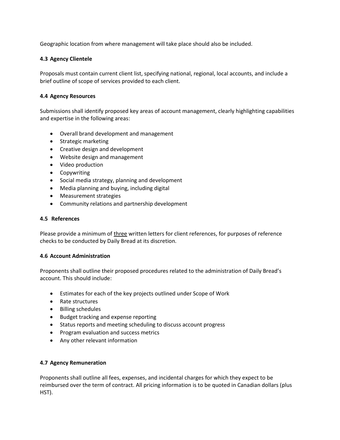Geographic location from where management will take place should also be included.

# **4.3 Agency Clientele**

Proposals must contain current client list, specifying national, regional, local accounts, and include a brief outline of scope of services provided to each client.

### **4.4 Agency Resources**

Submissions shall identify proposed key areas of account management, clearly highlighting capabilities and expertise in the following areas:

- Overall brand development and management
- Strategic marketing
- Creative design and development
- Website design and management
- Video production
- Copywriting
- Social media strategy, planning and development
- Media planning and buying, including digital
- Measurement strategies
- Community relations and partnership development

#### **4.5 References**

Please provide a minimum of three written letters for client references, for purposes of reference checks to be conducted by Daily Bread at its discretion.

#### **4.6 Account Administration**

Proponents shall outline their proposed procedures related to the administration of Daily Bread's account. This should include:

- Estimates for each of the key projects outlined under Scope of Work
- Rate structures
- Billing schedules
- Budget tracking and expense reporting
- Status reports and meeting scheduling to discuss account progress
- Program evaluation and success metrics
- Any other relevant information

#### **4.7 Agency Remuneration**

Proponents shall outline all fees, expenses, and incidental charges for which they expect to be reimbursed over the term of contract. All pricing information is to be quoted in Canadian dollars (plus HST).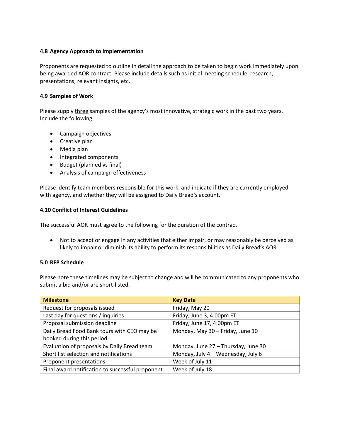### **4.8 Agency Approach to Implementation**

Proponents are requested to outline in detail the approach to be taken to begin work immediately upon being awarded AOR contract. Please include details such as initial meeting schedule, research, presentations, relevant insights, etc.

### **4.9 Samples of Work**

Please supply three samples of the agency's most innovative, strategic work in the past two years. Include the following:

- Campaign objectives
- Creative plan
- Media plan
- Integrated components
- Budget (planned vs final)
- Analysis of campaign effectiveness

Please identify team members responsible for this work, and indicate if they are currently employed with agency, and whether they will be assigned to Daily Bread's account.

# **4.10 Conflict of Interest Guidelines**

The successful AOR must agree to the following for the duration of the contract:

• Not to accept or engage in any activities that either impair, or may reasonably be perceived as likely to impair or diminish its ability to perform its responsibilities as Daily Bread's AOR.

# **5.0 RFP Schedule**

Please note these timelines may be subject to change and will be communicated to any proponents who submit a bid and/or are short-listed.

| <b>Milestone</b>                                 | <b>Key Date</b>                     |
|--------------------------------------------------|-------------------------------------|
| Request for proposals issued                     | Friday, May 20                      |
| Last day for questions / inquiries               | Friday, June 3, 4:00pm ET           |
| Proposal submission deadline                     | Friday, June 17, 4:00pm ET          |
| Daily Bread Food Bank tours with CEO may be      | Monday, May 30 - Friday, June 10    |
| booked during this period                        |                                     |
| Evaluation of proposals by Daily Bread team      | Monday, June 27 - Thursday, June 30 |
| Short list selection and notifications           | Monday, July 4 - Wednesday, July 6  |
| Proponent presentations                          | Week of July 11                     |
| Final award notification to successful proponent | Week of July 18                     |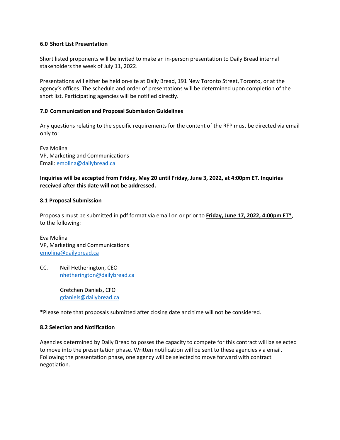#### **6.0 Short List Presentation**

Short listed proponents will be invited to make an in-person presentation to Daily Bread internal stakeholders the week of July 11, 2022.

Presentations will either be held on-site at Daily Bread, 191 New Toronto Street, Toronto, or at the agency's offices. The schedule and order of presentations will be determined upon completion of the short list. Participating agencies will be notified directly.

#### **7.0 Communication and Proposal Submission Guidelines**

Any questions relating to the specific requirements for the content of the RFP must be directed via email only to:

Eva Molina VP, Marketing and Communications Email: [emolina@dailybread.ca](mailto:emolina@dailybread.ca)

#### **Inquiries will be accepted from Friday, May 20 until Friday, June 3, 2022, at 4:00pm ET. Inquiries received after this date will not be addressed.**

#### **8.1 Proposal Submission**

Proposals must be submitted in pdf format via email on or prior to **Friday, June 17, 2022, 4:00pm ET\***, to the following:

Eva Molina VP, Marketing and Communications [emolina@dailybread.ca](mailto:emolina@dailybread.ca)

CC. Neil Hetherington, CEO [nhetherington@dailybread.ca](mailto:nhetherington@dailybread.ca)

> Gretchen Daniels, CFO [gdaniels@dailybread.ca](mailto:gdaniels@dailybread.ca)

\*Please note that proposals submitted after closing date and time will not be considered.

#### **8.2 Selection and Notification**

Agencies determined by Daily Bread to posses the capacity to compete for this contract will be selected to move into the presentation phase. Written notification will be sent to these agencies via email. Following the presentation phase, one agency will be selected to move forward with contract negotiation.